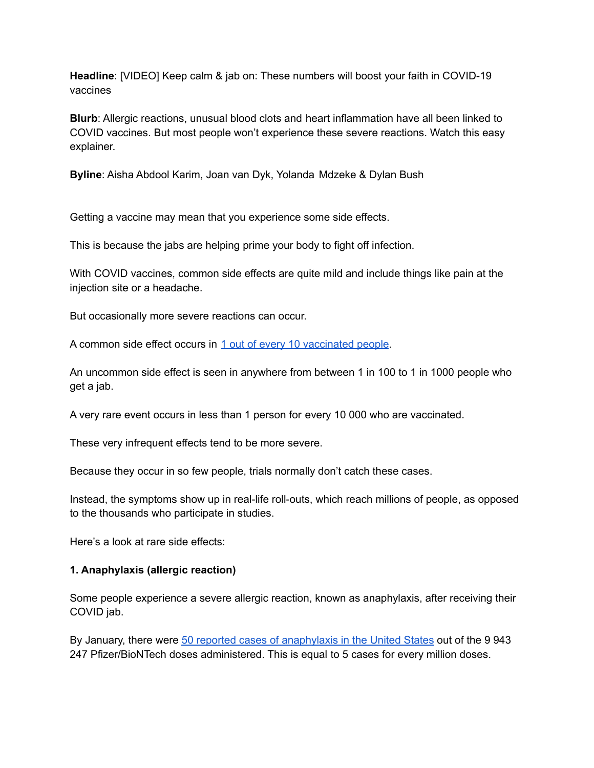**Headline**: [VIDEO] Keep calm & jab on: These numbers will boost your faith in COVID-19 vaccines

**Blurb**: Allergic reactions, unusual blood clots and heart inflammation have all been linked to COVID vaccines. But most people won't experience these severe reactions. Watch this easy explainer.

**Byline**: Aisha Abdool Karim, Joan van Dyk, Yolanda Mdzeke & Dylan Bush

Getting a vaccine may mean that you experience some side effects.

This is because the jabs are helping prime your body to fight off infection.

With COVID vaccines, common side effects are quite mild and include things like pain at the injection site or a headache.

But occasionally more severe reactions can occur.

A common side effect occurs in 1 out of every 10 [vaccinated](https://bhekisisa.org/health-news-south-africa/2021-05-07-how-rare-is-very-rare-your-questions-about-blood-clots-answered/) people.

An uncommon side effect is seen in anywhere from between 1 in 100 to 1 in 1000 people who get a jab.

A very rare event occurs in less than 1 person for every 10 000 who are vaccinated.

These very infrequent effects tend to be more severe.

Because they occur in so few people, trials normally don't catch these cases.

Instead, the symptoms show up in real-life roll-outs, which reach millions of people, as opposed to the thousands who participate in studies.

Here's a look at rare side effects:

## **1. Anaphylaxis (allergic reaction)**

Some people experience a severe allergic reaction, known as anaphylaxis, after receiving their COVID jab.

By January, there were 50 reported cases of [anaphylaxis](https://www.cdc.gov/vaccines/acip/meetings/downloads/slides-2021-01/06-COVID-Shimabukuro.pdf) in the United States out of the 9 943 247 Pfizer/BioNTech doses administered. This is equal to 5 cases for every million doses.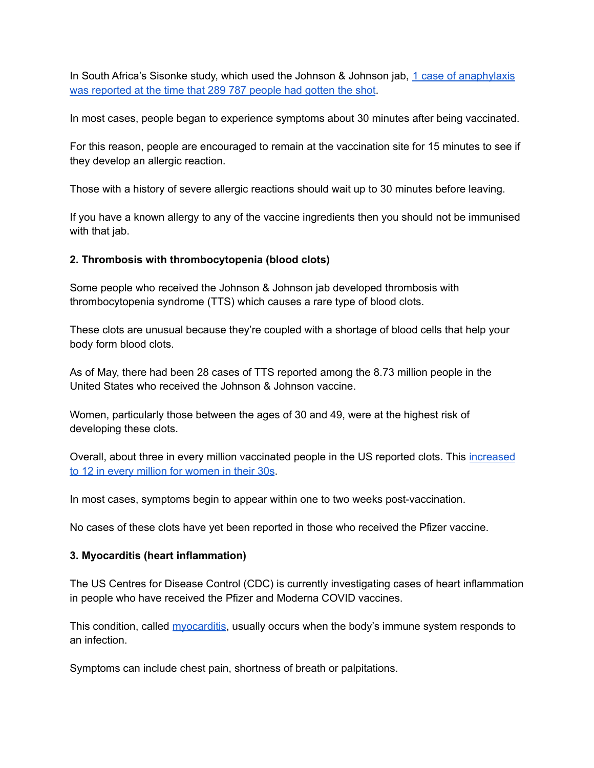In South Africa's Sisonke study, which used the Johnson & Johnson jab, 1 case of [anaphylaxis](https://www.samrc.ac.za/media-release/sisonke-phase-3-b-study-temporarily-paused-until-us-fda-reviews-6-cases-rare-clotting) was [reported](https://www.samrc.ac.za/media-release/sisonke-phase-3-b-study-temporarily-paused-until-us-fda-reviews-6-cases-rare-clotting) at the time that 289 787 people had gotten the shot.

In most cases, people began to experience symptoms about 30 minutes after being vaccinated.

For this reason, people are encouraged to remain at the vaccination site for 15 minutes to see if they develop an allergic reaction.

Those with a history of severe allergic reactions should wait up to 30 minutes before leaving.

If you have a known allergy to any of the vaccine ingredients then you should not be immunised with that jab.

## **2. Thrombosis with thrombocytopenia (blood clots)**

Some people who received the Johnson & Johnson jab developed thrombosis with thrombocytopenia syndrome (TTS) which causes a rare type of blood clots.

These clots are unusual because they're coupled with a shortage of blood cells that help your body form blood clots.

As of May, there had been 28 cases of TTS reported among the 8.73 million people in the United States who received the Johnson & Johnson vaccine.

Women, particularly those between the ages of 30 and 49, were at the highest risk of developing these clots.

Overall, about three in every million vaccinated people in the US reported clots. This [increased](https://www.cdc.gov/vaccines/acip/meetings/downloads/slides-2021-05-12/07-COVID-Shimabukuro-508.pdf) to 12 in every million for [women](https://www.cdc.gov/vaccines/acip/meetings/downloads/slides-2021-05-12/07-COVID-Shimabukuro-508.pdf) in their 30s.

In most cases, symptoms begin to appear within one to two weeks post-vaccination.

No cases of these clots have yet been reported in those who received the Pfizer vaccine.

## **3. Myocarditis (heart inflammation)**

The US Centres for Disease Control (CDC) is currently investigating cases of heart inflammation in people who have received the Pfizer and Moderna COVID vaccines.

This condition, called [myocarditis](https://www.cdc.gov/vaccines/covid-19/clinical-considerations/myocarditis.html), usually occurs when the body's immune system responds to an infection.

Symptoms can include chest pain, shortness of breath or palpitations.